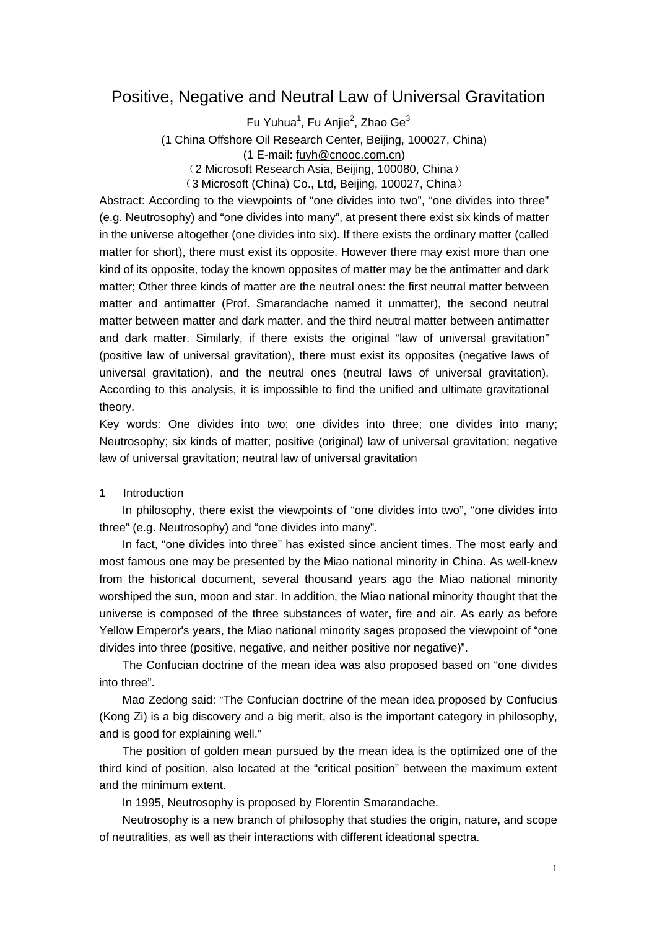# Positive, Negative and Neutral Law of Universal Gravitation

Fu Yuhua<sup>1</sup>, Fu Anjie<sup>2</sup>, Zhao Ge<sup>3</sup> (1 China Offshore Oil Research Center, Beijing, 100027, China) (1 E-mail: [fuyh@cnooc.com.cn\)](mailto:fuyh@cnooc.com.cn) (2 Microsoft Research Asia, Beijing, 100080, China)

(3 Microsoft (China) Co., Ltd, Beijing, 100027, China)

Abstract: According to the viewpoints of "one divides into two", "one divides into three" (e.g. Neutrosophy) and "one divides into many", at present there exist six kinds of matter in the universe altogether (one divides into six). If there exists the ordinary matter (called matter for short), there must exist its opposite. However there may exist more than one kind of its opposite, today the known opposites of matter may be the antimatter and dark matter; Other three kinds of matter are the neutral ones: the first neutral matter between matter and antimatter (Prof. Smarandache named it unmatter), the second neutral matter between matter and dark matter, and the third neutral matter between antimatter and dark matter. Similarly, if there exists the original "law of universal gravitation" (positive law of universal gravitation), there must exist its opposites (negative laws of universal gravitation), and the neutral ones (neutral laws of universal gravitation). According to this analysis, it is impossible to find the unified and ultimate gravitational theory.

Key words: One divides into two; one divides into three; one divides into many; Neutrosophy; six kinds of matter; positive (original) law of universal gravitation; negative law of universal gravitation; neutral law of universal gravitation

### 1 Introduction

In philosophy, there exist the viewpoints of "one divides into two", "one divides into three" (e.g. Neutrosophy) and "one divides into many".

In fact, "one divides into three" has existed since ancient times. The most early and most famous one may be presented by the Miao national minority in China. As well-knew from the historical document, several thousand years ago the Miao national minority worshiped the sun, moon and star. In addition, the Miao national minority thought that the universe is composed of the three substances of water, fire and air. As early as before Yellow Emperor's years, the Miao national minority sages proposed the viewpoint of "one divides into three (positive, negative, and neither positive nor negative)".

The Confucian doctrine of the mean idea was also proposed based on "one divides into three".

Mao Zedong said: "The Confucian doctrine of the mean idea proposed by Confucius (Kong Zi) is a big discovery and a big merit, also is the important category in philosophy, and is good for explaining well."

The position of golden mean pursued by the mean idea is the optimized one of the third kind of position, also located at the "critical position" between the maximum extent and the minimum extent.

In 1995, Neutrosophy is proposed by Florentin Smarandache.

Neutrosophy is a new branch of philosophy that studies the origin, nature, and scope of neutralities, as well as their interactions with different ideational spectra.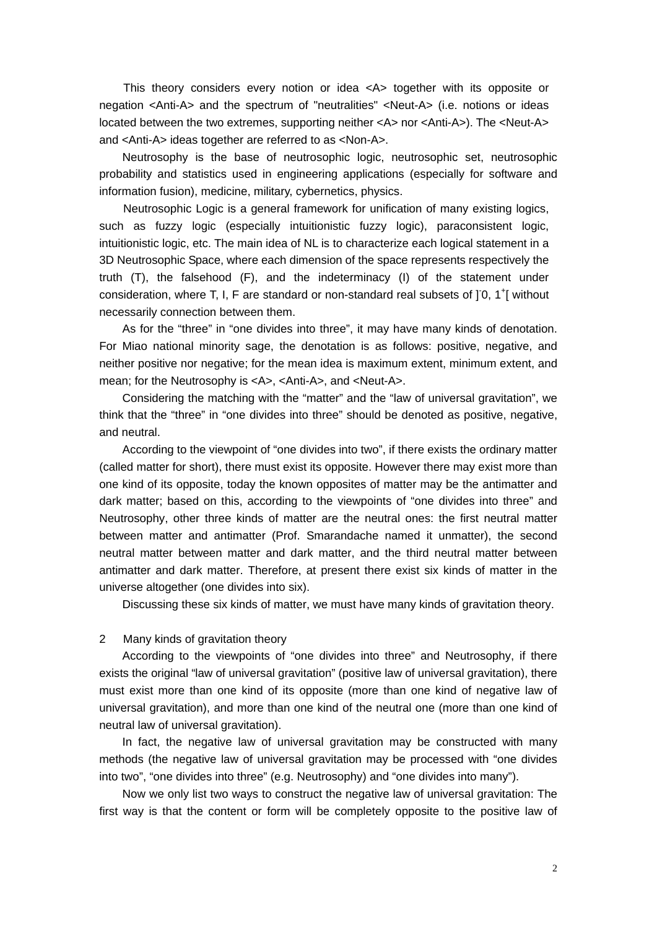This theory considers every notion or idea <A> together with its opposite or negation <Anti-A> and the spectrum of "neutralities" <Neut-A> (i.e. notions or ideas located between the two extremes, supporting neither <A> nor <Anti-A>). The <Neut-A> and <Anti-A> ideas together are referred to as <Non-A>.

Neutrosophy is the base of neutrosophic logic, neutrosophic set, neutrosophic probability and statistics used in engineering applications (especially for software and information fusion), medicine, military, cybernetics, physics.

Neutrosophic Logic is a general framework for unification of many existing logics, such as fuzzy logic (especially intuitionistic fuzzy logic), paraconsistent logic, intuitionistic logic, etc. The main idea of NL is to characterize each logical statement in a 3D Neutrosophic Space, where each dimension of the space represents respectively the truth (T), the falsehood (F), and the indeterminacy (I) of the statement under consideration, where T, I, F are standard or non-standard real subsets of  $]0, 1^+[$  without necessarily connection between them.

As for the "three" in "one divides into three", it may have many kinds of denotation. For Miao national minority sage, the denotation is as follows: positive, negative, and neither positive nor negative; for the mean idea is maximum extent, minimum extent, and mean; for the Neutrosophy is <A>, <Anti-A>, and <Neut-A>.

Considering the matching with the "matter" and the "law of universal gravitation", we think that the "three" in "one divides into three" should be denoted as positive, negative, and neutral.

According to the viewpoint of "one divides into two", if there exists the ordinary matter (called matter for short), there must exist its opposite. However there may exist more than one kind of its opposite, today the known opposites of matter may be the antimatter and dark matter; based on this, according to the viewpoints of "one divides into three" and Neutrosophy, other three kinds of matter are the neutral ones: the first neutral matter between matter and antimatter (Prof. Smarandache named it unmatter), the second neutral matter between matter and dark matter, and the third neutral matter between antimatter and dark matter. Therefore, at present there exist six kinds of matter in the universe altogether (one divides into six).

Discussing these six kinds of matter, we must have many kinds of gravitation theory.

### 2 Many kinds of gravitation theory

According to the viewpoints of "one divides into three" and Neutrosophy, if there exists the original "law of universal gravitation" (positive law of universal gravitation), there must exist more than one kind of its opposite (more than one kind of negative law of universal gravitation), and more than one kind of the neutral one (more than one kind of neutral law of universal gravitation).

In fact, the negative law of universal gravitation may be constructed with many methods (the negative law of universal gravitation may be processed with "one divides into two", "one divides into three" (e.g. Neutrosophy) and "one divides into many").

Now we only list two ways to construct the negative law of universal gravitation: The first way is that the content or form will be completely opposite to the positive law of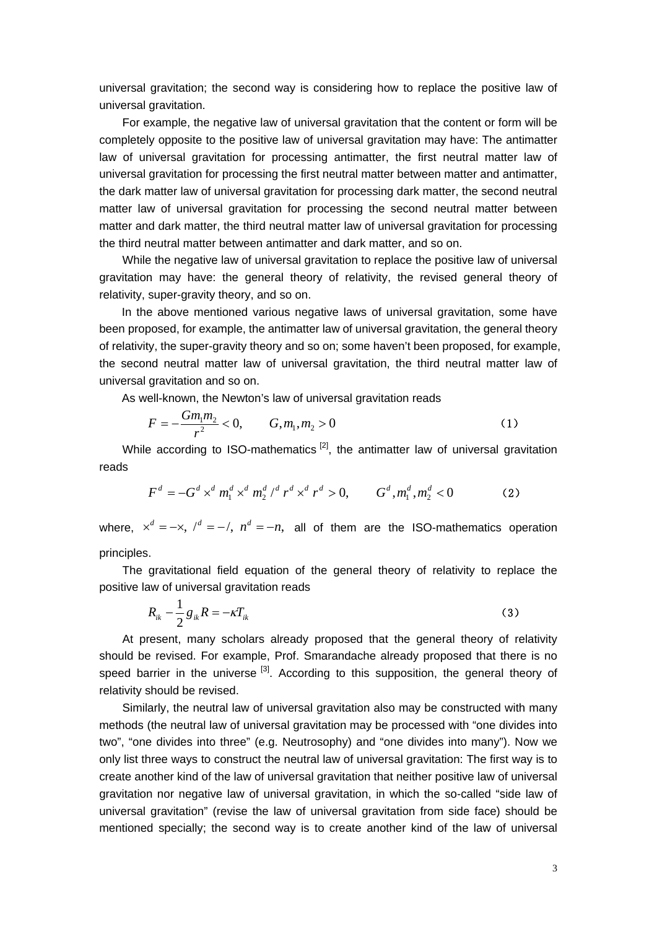universal gravitation; the second way is considering how to replace the positive law of universal gravitation.

For example, the negative law of universal gravitation that the content or form will be completely opposite to the positive law of universal gravitation may have: The antimatter law of universal gravitation for processing antimatter, the first neutral matter law of universal gravitation for processing the first neutral matter between matter and antimatter, the dark matter law of universal gravitation for processing dark matter, the second neutral matter law of universal gravitation for processing the second neutral matter between matter and dark matter, the third neutral matter law of universal gravitation for processing the third neutral matter between antimatter and dark matter, and so on.

While the negative law of universal gravitation to replace the positive law of universal gravitation may have: the general theory of relativity, the revised general theory of relativity, super-gravity theory, and so on.

In the above mentioned various negative laws of universal gravitation, some have been proposed, for example, the antimatter law of universal gravitation, the general theory of relativity, the super-gravity theory and so on; some haven't been proposed, for example, the second neutral matter law of universal gravitation, the third neutral matter law of universal gravitation and so on.

As well-known, the Newton's law of universal gravitation reads

$$
F = -\frac{Gm_1m_2}{r^2} < 0, \qquad G, m_1, m_2 > 0 \tag{1}
$$

While according to ISO-mathematics  $[2]$ , the antimatter law of universal gravitation reads

$$
F^d = -G^d \times^d m_1^d \times^d m_2^d /^d r^d \times^d r^d > 0, \qquad G^d, m_1^d, m_2^d < 0
$$
 (2)

where,  $x^d = -x$ ,  $\ell^d = -\ell$ ,  $n^d = -n$ , all of them are the ISO-mathematics operation principles.

The gravitational field equation of the general theory of relativity to replace the positive law of universal gravitation reads

$$
R_{ik} - \frac{1}{2} g_{ik} R = -\kappa T_{ik} \tag{3}
$$

At present, many scholars already proposed that the general theory of relativity should be revised. For example, Prof. Smarandache already proposed that there is no speed barrier in the universe  $\left[3\right]$ . According to this supposition, the general theory of relativity should be revised.

Similarly, the neutral law of universal gravitation also may be constructed with many methods (the neutral law of universal gravitation may be processed with "one divides into two", "one divides into three" (e.g. Neutrosophy) and "one divides into many"). Now we only list three ways to construct the neutral law of universal gravitation: The first way is to create another kind of the law of universal gravitation that neither positive law of universal gravitation nor negative law of universal gravitation, in which the so-called "side law of universal gravitation" (revise the law of universal gravitation from side face) should be mentioned specially; the second way is to create another kind of the law of universal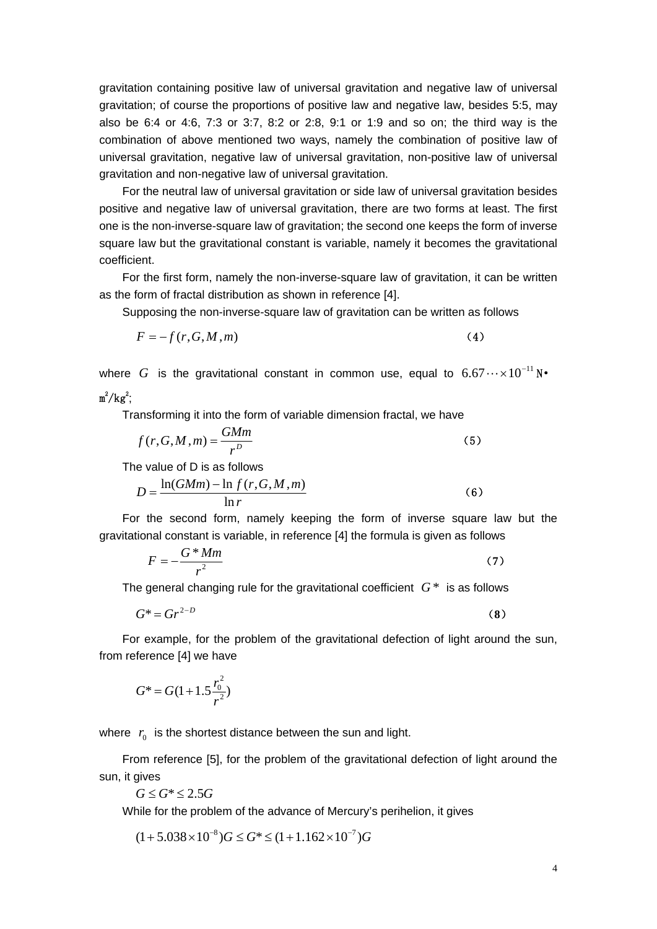gravitation containing positive law of universal gravitation and negative law of universal gravitation; of course the proportions of positive law and negative law, besides 5:5, may also be 6:4 or 4:6, 7:3 or 3:7, 8:2 or 2:8, 9:1 or 1:9 and so on; the third way is the combination of above mentioned two ways, namely the combination of positive law of universal gravitation, negative law of universal gravitation, non-positive law of universal gravitation and non-negative law of universal gravitation.

For the neutral law of universal gravitation or side law of universal gravitation besides positive and negative law of universal gravitation, there are two forms at least. The first one is the non-inverse-square law of gravitation; the second one keeps the form of inverse square law but the gravitational constant is variable, namely it becomes the gravitational coefficient.

For the first form, namely the non-inverse-square law of gravitation, it can be written as the form of fractal distribution as shown in reference [4].

Supposing the non-inverse-square law of gravitation can be written as follows

$$
F = -f(r, G, M, m) \tag{4}
$$

where  $G$  is the gravitational constant in common use, equal to  $6.67\cdots\times10^{-11}\,\text{N}$ •  $m^2/kg^2$ ;

Transforming it into the form of variable dimension fractal, we have

$$
f(r, G, M, m) = \frac{GMm}{r^D} \tag{5}
$$

The value of D is as follows

$$
D = \frac{\ln(GMm) - \ln f(r, G, M, m)}{\ln r}
$$
 (6)

For the second form, namely keeping the form of inverse square law but the gravitational constant is variable, in reference [4] the formula is given as follows

$$
F = -\frac{G \cdot Mm}{r^2} \tag{7}
$$

The general changing rule for the gravitational coefficient  $G^*$  is as follows

$$
G^* = Gr^{2-D} \tag{8}
$$

For example, for the problem of the gravitational defection of light around the sun, from reference [4] we have

$$
G^* = G(1+1.5\frac{r_0^2}{r^2})
$$

where  $r_0$  is the shortest distance between the sun and light.

From reference [5], for the problem of the gravitational defection of light around the sun, it gives

 $G$  ≤  $G$ <sup>\*</sup> ≤ 2.5 $G$ 

While for the problem of the advance of Mercury's perihelion, it gives

$$
(1+5.038\times10^{-8})G \le G^* \le (1+1.162\times10^{-7})G
$$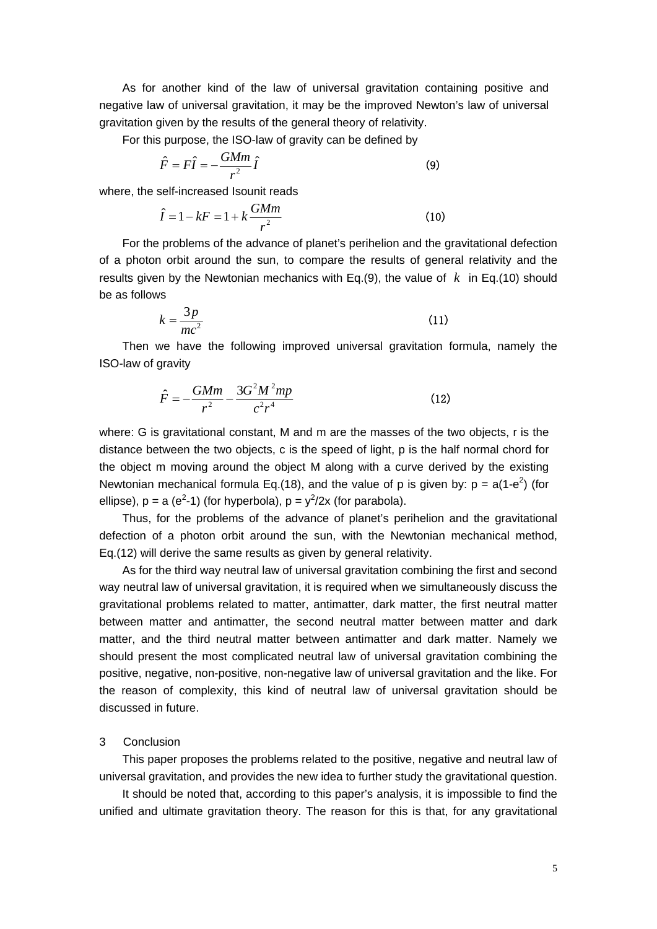As for another kind of the law of universal gravitation containing positive and negative law of universal gravitation, it may be the improved Newton's law of universal gravitation given by the results of the general theory of relativity.

For this purpose, the ISO-law of gravity can be defined by

$$
\hat{F} = F\hat{I} = -\frac{GMm}{r^2}\hat{I}
$$
\n(9)

where, the self-increased Isounit reads

$$
\hat{I} = 1 - kF = 1 + k \frac{GMm}{r^2}
$$
 (10)

For the problems of the advance of planet's perihelion and the gravitational defection of a photon orbit around the sun, to compare the results of general relativity and the results given by the Newtonian mechanics with Eq.(9), the value of  $k$  in Eq.(10) should be as follows

$$
k = \frac{3p}{mc^2} \tag{11}
$$

Then we have the following improved universal gravitation formula, namely the ISO-law of gravity

$$
\hat{F} = -\frac{GMm}{r^2} - \frac{3G^2M^2mp}{c^2r^4}
$$
\n(12)

where: G is gravitational constant, M and m are the masses of the two objects, r is the distance between the two objects, c is the speed of light, p is the half normal chord for the object m moving around the object M along with a curve derived by the existing Newtonian mechanical formula Eq.(18), and the value of p is given by:  $p = a(1-e^2)$  (for ellipse),  $p = a (e^2-1)$  (for hyperbola),  $p = y^2/2x$  (for parabola).

Thus, for the problems of the advance of planet's perihelion and the gravitational defection of a photon orbit around the sun, with the Newtonian mechanical method, Eq.(12) will derive the same results as given by general relativity.

As for the third way neutral law of universal gravitation combining the first and second way neutral law of universal gravitation, it is required when we simultaneously discuss the gravitational problems related to matter, antimatter, dark matter, the first neutral matter between matter and antimatter, the second neutral matter between matter and dark matter, and the third neutral matter between antimatter and dark matter. Namely we should present the most complicated neutral law of universal gravitation combining the positive, negative, non-positive, non-negative law of universal gravitation and the like. For the reason of complexity, this kind of neutral law of universal gravitation should be discussed in future.

#### 3 Conclusion

This paper proposes the problems related to the positive, negative and neutral law of universal gravitation, and provides the new idea to further study the gravitational question.

It should be noted that, according to this paper's analysis, it is impossible to find the unified and ultimate gravitation theory. The reason for this is that, for any gravitational